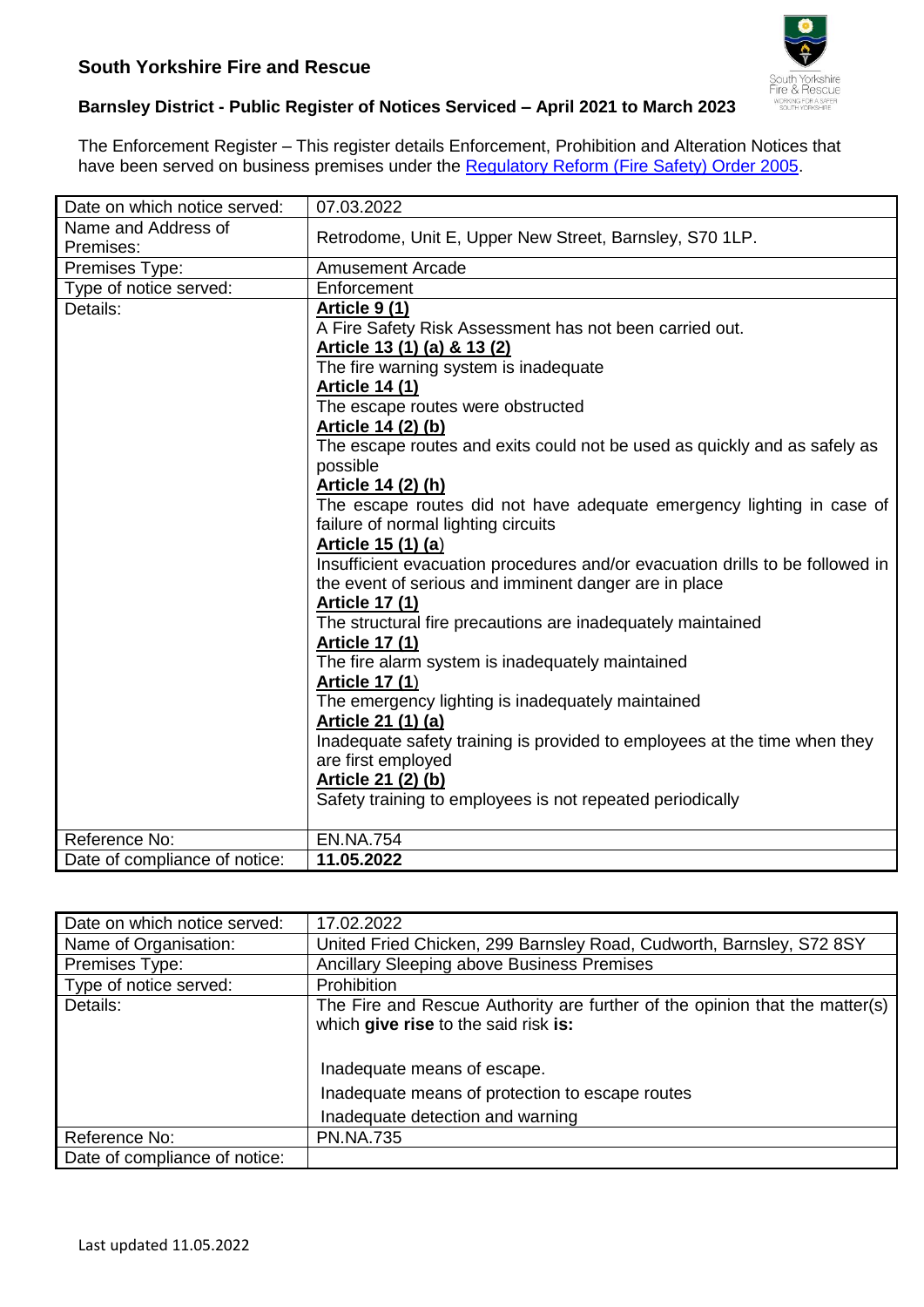

## **Barnsley District - Public Register of Notices Serviced – April 2021 to March 2023**

The Enforcement Register – This register details Enforcement, Prohibition and Alteration Notices that have been served on business premises under the [Regulatory Reform \(Fire Safety\) Order 2005.](http://www.legislation.gov.uk/uksi/2005/1541/contents/made)

| Date on which notice served:     | 07.03.2022                                                                                                                                                                                                                                                                                                                                                                                                                                                                                                                                                                                                                                                                                                                                                                                                                                                                                                                                                                                                                                                                                                |
|----------------------------------|-----------------------------------------------------------------------------------------------------------------------------------------------------------------------------------------------------------------------------------------------------------------------------------------------------------------------------------------------------------------------------------------------------------------------------------------------------------------------------------------------------------------------------------------------------------------------------------------------------------------------------------------------------------------------------------------------------------------------------------------------------------------------------------------------------------------------------------------------------------------------------------------------------------------------------------------------------------------------------------------------------------------------------------------------------------------------------------------------------------|
| Name and Address of<br>Premises: | Retrodome, Unit E, Upper New Street, Barnsley, S70 1LP.                                                                                                                                                                                                                                                                                                                                                                                                                                                                                                                                                                                                                                                                                                                                                                                                                                                                                                                                                                                                                                                   |
| Premises Type:                   | <b>Amusement Arcade</b>                                                                                                                                                                                                                                                                                                                                                                                                                                                                                                                                                                                                                                                                                                                                                                                                                                                                                                                                                                                                                                                                                   |
| Type of notice served:           | Enforcement                                                                                                                                                                                                                                                                                                                                                                                                                                                                                                                                                                                                                                                                                                                                                                                                                                                                                                                                                                                                                                                                                               |
| Details:                         | <b>Article 9 (1)</b><br>A Fire Safety Risk Assessment has not been carried out.<br>Article 13 (1) (a) & 13 (2)<br>The fire warning system is inadequate<br><b>Article 14 (1)</b><br>The escape routes were obstructed<br>Article 14 (2) (b)<br>The escape routes and exits could not be used as quickly and as safely as<br>possible<br>Article 14 (2) (h)<br>The escape routes did not have adequate emergency lighting in case of<br>failure of normal lighting circuits<br>Article 15 (1) (a)<br>Insufficient evacuation procedures and/or evacuation drills to be followed in<br>the event of serious and imminent danger are in place<br><b>Article 17 (1)</b><br>The structural fire precautions are inadequately maintained<br><b>Article 17 (1)</b><br>The fire alarm system is inadequately maintained<br><b>Article 17 (1)</b><br>The emergency lighting is inadequately maintained<br>Article 21 (1) (a)<br>Inadequate safety training is provided to employees at the time when they<br>are first employed<br>Article 21 (2) (b)<br>Safety training to employees is not repeated periodically |
| Reference No:                    | <b>EN.NA.754</b>                                                                                                                                                                                                                                                                                                                                                                                                                                                                                                                                                                                                                                                                                                                                                                                                                                                                                                                                                                                                                                                                                          |
| Date of compliance of notice:    | 11.05.2022                                                                                                                                                                                                                                                                                                                                                                                                                                                                                                                                                                                                                                                                                                                                                                                                                                                                                                                                                                                                                                                                                                |
|                                  |                                                                                                                                                                                                                                                                                                                                                                                                                                                                                                                                                                                                                                                                                                                                                                                                                                                                                                                                                                                                                                                                                                           |

| Date on which notice served:  | 17.02.2022                                                                                                          |
|-------------------------------|---------------------------------------------------------------------------------------------------------------------|
| Name of Organisation:         | United Fried Chicken, 299 Barnsley Road, Cudworth, Barnsley, S72 8SY                                                |
| Premises Type:                | Ancillary Sleeping above Business Premises                                                                          |
| Type of notice served:        | <b>Prohibition</b>                                                                                                  |
| Details:                      | The Fire and Rescue Authority are further of the opinion that the matter(s)<br>which give rise to the said risk is: |
|                               | Inadequate means of escape.                                                                                         |
|                               | Inadequate means of protection to escape routes                                                                     |
|                               | Inadequate detection and warning                                                                                    |
| Reference No:                 | <b>PN.NA.735</b>                                                                                                    |
| Date of compliance of notice: |                                                                                                                     |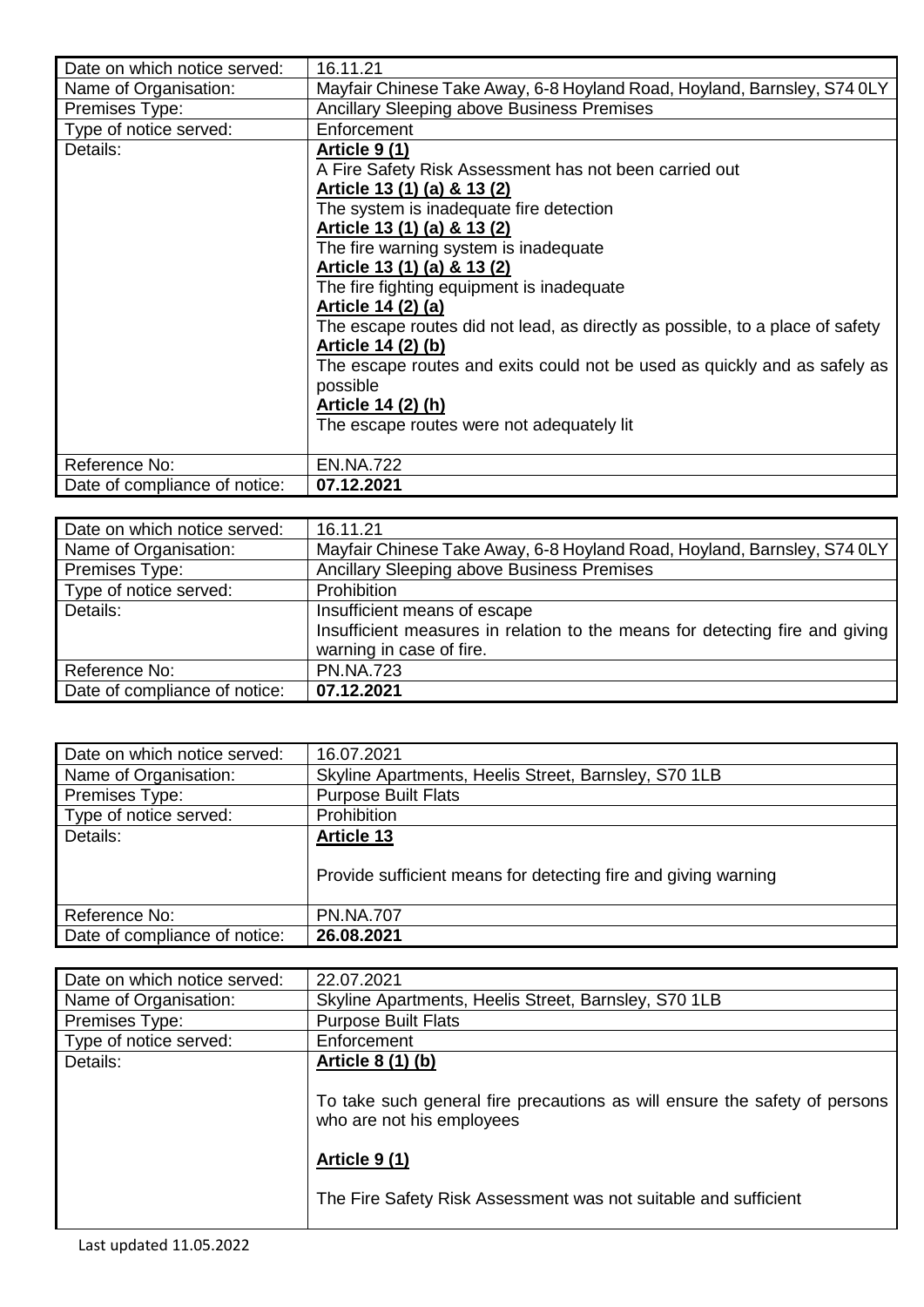| Date on which notice served:  | 16.11.21                                                                      |
|-------------------------------|-------------------------------------------------------------------------------|
| Name of Organisation:         | Mayfair Chinese Take Away, 6-8 Hoyland Road, Hoyland, Barnsley, S74 0LY       |
| Premises Type:                | Ancillary Sleeping above Business Premises                                    |
| Type of notice served:        | Enforcement                                                                   |
| Details:                      | Article 9 (1)                                                                 |
|                               | A Fire Safety Risk Assessment has not been carried out                        |
|                               | Article 13 (1) (a) & 13 (2)                                                   |
|                               | The system is inadequate fire detection                                       |
|                               | Article 13 (1) (a) & 13 (2)                                                   |
|                               | The fire warning system is inadequate                                         |
|                               | <u>Article 13 (1) (a) &amp; 13 (2)</u>                                        |
|                               | The fire fighting equipment is inadequate                                     |
|                               | Article 14 (2) (a)                                                            |
|                               | The escape routes did not lead, as directly as possible, to a place of safety |
|                               | Article 14 (2) (b)                                                            |
|                               | The escape routes and exits could not be used as quickly and as safely as     |
|                               | possible                                                                      |
|                               | <u>Article 14 (2) (h)</u>                                                     |
|                               | The escape routes were not adequately lit                                     |
|                               |                                                                               |
| Reference No:                 | <b>EN.NA.722</b>                                                              |
| Date of compliance of notice: | 07.12.2021                                                                    |

| Date on which notice served:  | 16.11.21                                                                     |
|-------------------------------|------------------------------------------------------------------------------|
| Name of Organisation:         | Mayfair Chinese Take Away, 6-8 Hoyland Road, Hoyland, Barnsley, S74 0LY      |
| Premises Type:                | Ancillary Sleeping above Business Premises                                   |
| Type of notice served:        | Prohibition                                                                  |
| Details:                      | Insufficient means of escape                                                 |
|                               | Insufficient measures in relation to the means for detecting fire and giving |
|                               | warning in case of fire.                                                     |
| Reference No:                 | <b>PN.NA.723</b>                                                             |
| Date of compliance of notice: | 07.12.2021                                                                   |

| Date on which notice served:  | 16.07.2021                                                     |
|-------------------------------|----------------------------------------------------------------|
| Name of Organisation:         | Skyline Apartments, Heelis Street, Barnsley, S70 1LB           |
| Premises Type:                | <b>Purpose Built Flats</b>                                     |
| Type of notice served:        | Prohibition                                                    |
| Details:                      | <b>Article 13</b>                                              |
|                               | Provide sufficient means for detecting fire and giving warning |
| Reference No:                 | <b>PN.NA.707</b>                                               |
| Date of compliance of notice: | 26.08.2021                                                     |

| Date on which notice served: | 22.07.2021                                                                                              |
|------------------------------|---------------------------------------------------------------------------------------------------------|
| Name of Organisation:        | Skyline Apartments, Heelis Street, Barnsley, S70 1LB                                                    |
| Premises Type:               | <b>Purpose Built Flats</b>                                                                              |
| Type of notice served:       | Enforcement                                                                                             |
| Details:                     | Article 8 (1) (b)                                                                                       |
|                              | To take such general fire precautions as will ensure the safety of persons<br>who are not his employees |
|                              | <b>Article 9 (1)</b>                                                                                    |
|                              | The Fire Safety Risk Assessment was not suitable and sufficient                                         |